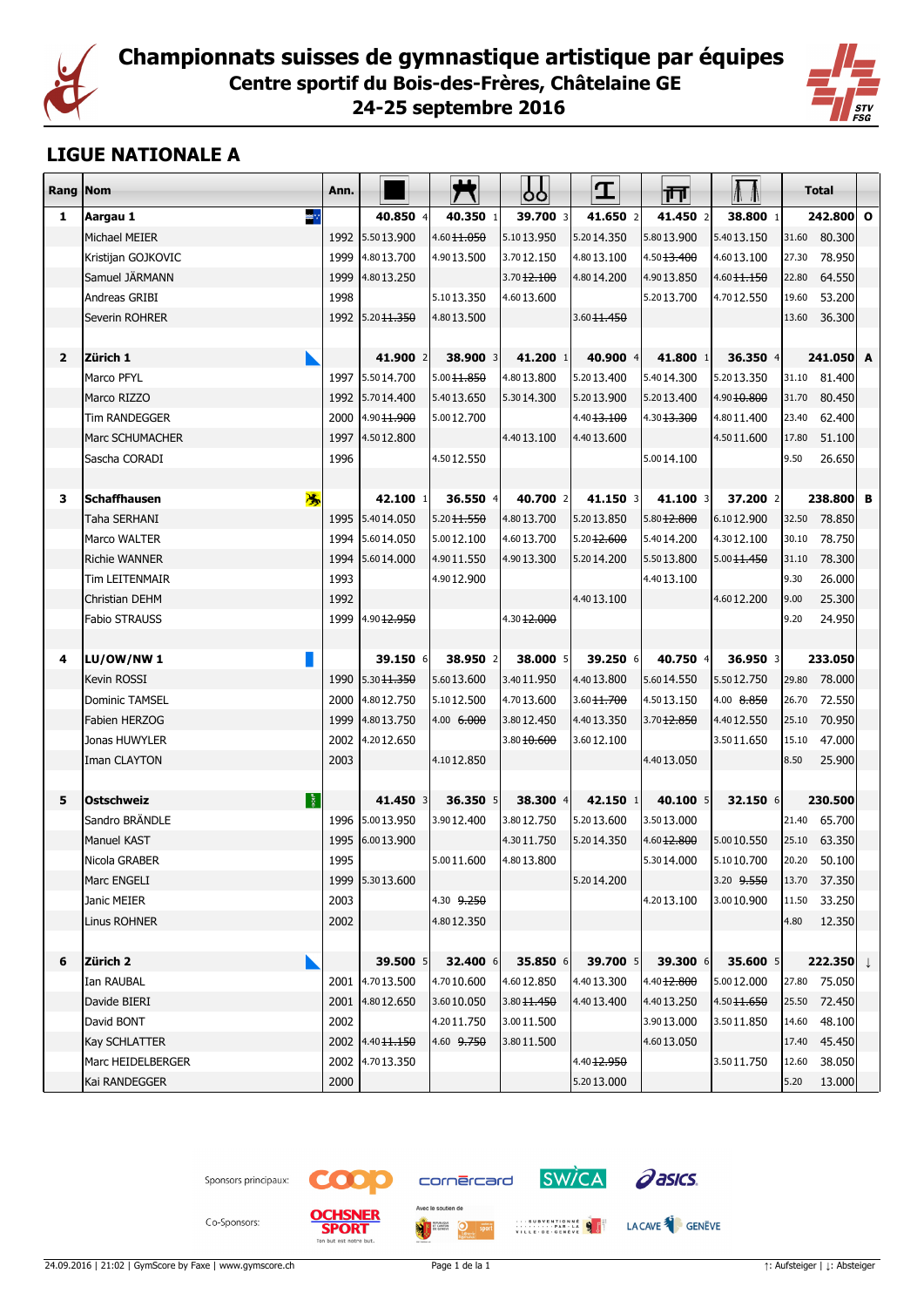



## **LIGUE NATIONALE A**

| Rang Nom       |                          | Ann. |                        |                        | ცე                     | I                      | 帀                      | M               |       | <b>Total</b>         |  |
|----------------|--------------------------|------|------------------------|------------------------|------------------------|------------------------|------------------------|-----------------|-------|----------------------|--|
| 1              | ≋∵<br>Aargau 1           |      | 40.850 4               | 40.350 1               | 39.700 3               | 41.650 2               | 41.450 2               | 38.800 1        |       | 242.800 0            |  |
|                | Michael MEIER            | 1992 | 5.5013.900             | 4.6011.050             | 5.1013.950             | 5.2014.350             | 5.8013.900             | 5.4013.150      | 31.60 | 80.300               |  |
|                | Kristijan GOJKOVIC       | 1999 | 4.8013.700             | 4.9013.500             | 3.7012.150             | 4.8013.100             | 4.5013.400             | 4.6013.100      | 27.30 | 78.950               |  |
|                | Samuel JÄRMANN           | 1999 | 4.8013.250             |                        | 3.7012.100             | 4.8014.200             | 4.9013.850             | 4.60 11.150     | 22.80 | 64.550               |  |
|                | Andreas GRIBI            | 1998 |                        | 5.1013.350             | 4.6013.600             |                        | 5.2013.700             | 4.7012.550      | 19.60 | 53.200               |  |
|                | Severin ROHRER           | 1992 | 5.20 <del>11.350</del> | 4.8013.500             |                        | 3.60 11.450            |                        |                 | 13.60 | 36.300               |  |
|                |                          |      |                        |                        |                        |                        |                        |                 |       |                      |  |
| $\overline{2}$ | Zürich 1                 |      | 41.900 2               | 38.900 3               | 41.200 1               | 40.900 4               | 41,800 1               | 36.350 4        |       | 241.050 A            |  |
|                | Marco PFYL               |      | 1997 5.5014.700        | 5.00 11.850            | 4.8013.800             | 5.2013.400             | 5.4014.300             | 5.2013.350      | 31.10 | 81.400               |  |
|                | Marco RIZZO              | 1992 | 5.7014.400             | 5.4013.650             | 5.3014.300             | 5.2013.900             | 5.2013.400             | 4.9010.800      | 31.70 | 80.450               |  |
|                | <b>Tim RANDEGGER</b>     | 2000 | 4.90 11.900            | 5.0012.700             |                        | 4.40 <del>13.100</del> | 4.30 <del>13.300</del> | 4.8011.400      | 23.40 | 62.400               |  |
|                | Marc SCHUMACHER          | 1997 | 4.5012.800             |                        | 4.4013.100             | 4.4013.600             |                        | 4.5011.600      | 17.80 | 51.100               |  |
|                | Sascha CORADI            | 1996 |                        | 4.5012.550             |                        |                        | 5.0014.100             |                 | 9.50  | 26.650               |  |
|                |                          |      |                        |                        |                        |                        |                        |                 |       |                      |  |
| 3              | <b>Schaffhausen</b><br>馮 |      | 42.100 1               | 36.550 4               | 40.700 2               | 41.150 3               | 41.100 3               | 37.200 2        |       | 238.800 B            |  |
|                | Taha SERHANI             | 1995 | 5.4014.050             | 5.20 <del>11.550</del> | 4.8013.700             | 5.2013.850             | 5.80 <del>12.800</del> | 6.1012.900      | 32.50 | 78.850               |  |
|                | Marco WALTER             |      | 1994 5.6014.050        | 5.0012.100             | 4.6013.700             | 5.20 <del>12.600</del> | 5.4014.200             | 4.3012.100      | 30.10 | 78.750               |  |
|                | <b>Richie WANNER</b>     | 1994 | 5.6014.000             | 4.9011.550             | 4.9013.300             | 5.2014.200             | 5.5013.800             | $5.00$ $11.450$ | 31.10 | 78.300               |  |
|                | <b>Tim LEITENMAIR</b>    | 1993 |                        | 4.9012.900             |                        |                        | 4.4013.100             |                 | 9.30  | 26.000               |  |
|                | Christian DEHM           | 1992 |                        |                        |                        | 4.4013.100             |                        | 4.6012.200      | 9.00  | 25.300               |  |
|                | <b>Fabio STRAUSS</b>     | 1999 | 4.90 <del>12.950</del> |                        | 4.3012.000             |                        |                        |                 | 9.20  | 24.950               |  |
|                |                          |      |                        |                        |                        |                        |                        |                 |       |                      |  |
| 4              | LU/OW/NW 1               |      | 39.150 6               | 38.950 2               | 38.000 5               | 39.250 6               | 40.750 4               | 36.950 3        |       | 233.050              |  |
|                | Kevin ROSSI              | 1990 | 5.30 <del>11.350</del> | 5.6013.600             | 3.4011.950             | 4.4013.800             | 5.6014.550             | 5.5012.750      | 29.80 | 78.000               |  |
|                | Dominic TAMSEL           | 2000 | 4.8012.750             | 5.1012.500             | 4.7013.600             | 3.6011.700             | 4.5013.150             | 4.00 8.850      | 26.70 | 72.550               |  |
|                | Fabien HERZOG            | 1999 | 4.8013.750             | 4.00 6.000             | 3.8012.450             | 4.4013.350             | $3.70$ $12.850$        | 4.4012.550      | 25.10 | 70.950               |  |
|                | Jonas HUWYLER            | 2002 | 4.2012.650             |                        | 3.8010.600             | 3.6012.100             |                        | 3.5011.650      | 15.10 | 47.000               |  |
|                | Iman CLAYTON             | 2003 |                        | 4.1012.850             |                        |                        | 4.4013.050             |                 | 8.50  | 25.900               |  |
| 5              | 图<br><b>Ostschweiz</b>   |      | 41.450 3               | 36.350 5               | 38.300 4               | 42.150 1               | 40.100 5               | $32.150$ 6      |       | 230.500              |  |
|                | Sandro BRÄNDLE           | 1996 | 5.0013.950             | 3.9012.400             | 3.8012.750             | 5.2013.600             | 3.5013.000             |                 | 21.40 | 65.700               |  |
|                | <b>Manuel KAST</b>       | 1995 | 6.0013.900             |                        | 4.3011.750             | 5.2014.350             | 4.6012.800             | 5.0010.550      | 25.10 | 63.350               |  |
|                | Nicola GRABER            | 1995 |                        | 5.0011.600             | 4.8013.800             |                        | 5.3014.000             | 5.1010.700      | 20.20 | 50.100               |  |
|                | Marc ENGELI              | 1999 | 5.3013.600             |                        |                        | 5.2014.200             |                        | 3.20 9.550      |       | 13.70 37.350         |  |
|                | <b>Janic MEIER</b>       | 2003 |                        | 4.30 9.250             |                        |                        | 4.2013.100             | 3.0010.900      | 11.50 | 33.250               |  |
|                | Linus ROHNER             | 2002 |                        | 4.8012.350             |                        |                        |                        |                 | 4.80  | 12.350               |  |
|                |                          |      |                        |                        |                        |                        |                        |                 |       |                      |  |
| 6              | Zürich 2                 |      | 39.500 5               | 32.400 6               | 35.850 6               | 39.700 5               | 39.300 6               | 35.600 5        |       | 222.350 $\downarrow$ |  |
|                | Ian RAUBAL               |      | 2001 4.7013.500        | 4.7010.600             | 4.6012.850             | 4.4013.300             | 4.4012.800             | 5.0012.000      |       | 27.80 75.050         |  |
|                | Davide BIERI             | 2001 | 4.8012.650             | 3.6010.050             | 3.80 <del>11.450</del> | 4.4013.400             | 4.4013.250             | 4.50 11.650     | 25.50 | 72.450               |  |
|                | David BONT               | 2002 |                        | 4.2011.750             | 3.0011.500             |                        | 3.9013.000             | 3.5011.850      | 14.60 | 48.100               |  |
|                | <b>Kay SCHLATTER</b>     |      | 2002 4.4011.150        | 4.60 9.750             | 3.8011.500             |                        | 4.6013.050             |                 | 17.40 | 45.450               |  |
|                | Marc HEIDELBERGER        | 2002 | 4.7013.350             |                        |                        | 4.40 12.950            |                        | 3.5011.750      | 12.60 | 38.050               |  |
|                | Kai RANDEGGER            | 2000 |                        |                        |                        | 5.2013.000             |                        |                 | 5.20  | 13.000               |  |
|                |                          |      |                        |                        |                        |                        |                        |                 |       |                      |  |





an bun



cornercard



**SW/CA** 

Co-Sponsors:

**MIT HEADER**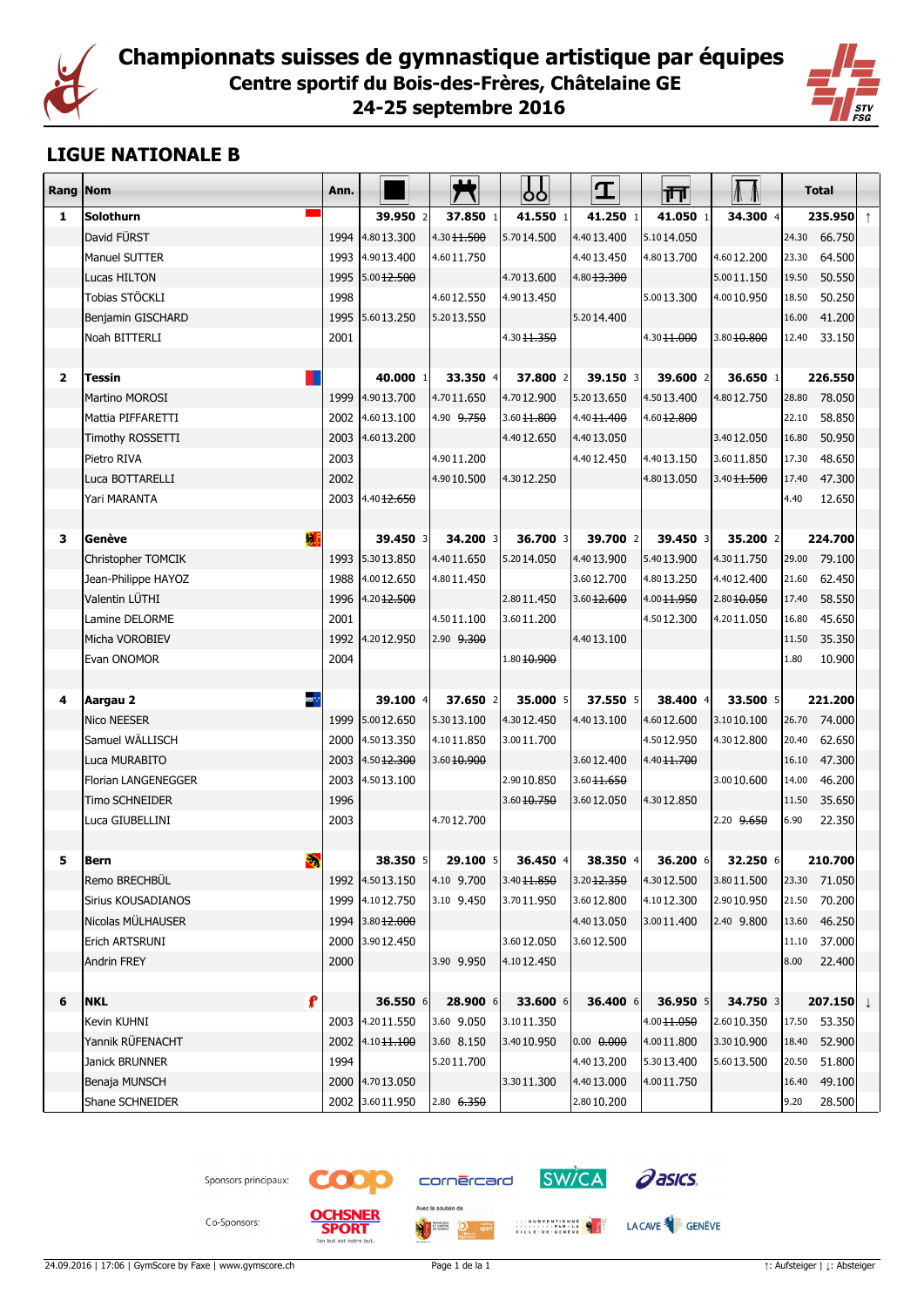



## **LIGUE NATIONALE B**

| <b>Rang Nom</b> |                       | Ann. |                        |                       | ბბ                     | I                       | 帀                      |             | <b>Total</b> |                      |            |
|-----------------|-----------------------|------|------------------------|-----------------------|------------------------|-------------------------|------------------------|-------------|--------------|----------------------|------------|
| 1               | <b>Solothurn</b>      |      | 39.950 2               | 37.850 1              | 41.550 1               | 41.250 1                | 41.050 1               | 34.300 4    |              | 235.950              | $\uparrow$ |
|                 | David FÜRST           | 1994 | 4.8013.300             | 4.30 11.500           | 5.7014.500             | 4.4013.400              | 5.1014.050             |             |              | 24.30 66.750         |            |
|                 | Manuel SUTTER         | 1993 | 4.9013.400             | 4.6011.750            |                        | 4.4013.450              | 4.8013.700             | 4.6012.200  | 23.30        | 64.500               |            |
|                 | Lucas HILTON          | 1995 | 5.00 12.500            |                       | 4.7013.600             | 4.8013.300              |                        | 5.0011.150  | 19.50        | 50.550               |            |
|                 | Tobias STÖCKLI        | 1998 |                        | 4.6012.550            | 4.9013.450             |                         | 5.0013.300             | 4.0010.950  | 18.50        | 50.250               |            |
|                 | Benjamin GISCHARD     | 1995 | 5.6013.250             | 5.2013.550            |                        | 5.2014.400              |                        |             | 16.00        | 41.200               |            |
|                 | Noah BITTERLI         | 2001 |                        |                       | 4.30 <del>11.350</del> |                         | 4.3011.000             | 3.8010.800  | 12.40        | 33.150               |            |
|                 |                       |      |                        |                       |                        |                         |                        |             |              |                      |            |
| $\mathbf{2}$    | <b>Tessin</b>         |      | 40.000 1               | 33.350 4              | 37.800 2               | 39.150 3                | 39,600 2               | 36.650 1    |              | 226.550              |            |
|                 | Martino MOROSI        | 1999 | 4.9013.700             | 4.7011.650            | 4.7012.900             | 5.2013.650              | 4.5013.400             | 4.8012.750  | 28.80        | 78.050               |            |
|                 | Mattia PIFFARETTI     |      | 2002 4.6013.100        | 4.90 9.750            | 3.6011.800             | 4.40 11.400             | 4.6012.800             |             | 22.10        | 58.850               |            |
|                 | Timothy ROSSETTI      | 2003 | 4.6013.200             |                       | 4.4012.650             | 4.4013.050              |                        | 3.4012.050  | 16.80        | 50.950               |            |
|                 | Pietro RIVA           | 2003 |                        | 4.9011.200            |                        | 4.4012.450              | 4.4013.150             | 3.6011.850  | 17.30        | 48.650               |            |
|                 | Luca BOTTARELLI       | 2002 |                        | 4.9010.500            | 4.3012.250             |                         | 4.8013.050             | 3.40 11.500 | 17.40        | 47.300               |            |
|                 | Yari MARANTA          | 2003 | 4.4012.650             |                       |                        |                         |                        |             | 4.40         | 12.650               |            |
|                 |                       |      |                        |                       |                        |                         |                        |             |              |                      |            |
| 3               | 捌<br>Genève           |      | 39.450 3               | 34.200 3              | 36.700 3               | 39.700 2                | 39,450 3               | 35.200 2    |              | 224.700              |            |
|                 | Christopher TOMCIK    | 1993 | 5.3013.850             | 4.4011.650            | 5.2014.050             | 4.4013.900              | 5.4013.900             | 4.3011.750  |              | 29.00 79.100         |            |
|                 | Jean-Philippe HAYOZ   | 1988 | 4.0012.650             | 4.8011.450            |                        | 3.6012.700              | 4.8013.250             | 4.4012.400  | 21.60        | 62.450               |            |
|                 | Valentin LÜTHI        | 1996 | 4.2012.500             |                       | 2.8011.450             | 3.6012.600              | 4.00 11.950            | 2.8010.050  | 17.40        | 58.550               |            |
|                 | Lamine DELORME        | 2001 |                        | 4.5011.100            | 3.6011.200             |                         | 4.5012.300             | 4.2011.050  | 16.80        | 45.650               |            |
|                 | Micha VOROBIEV        | 1992 | 4.2012.950             | 2.90 <del>9.300</del> |                        | 4.4013.100              |                        |             | 11.50        | 35.350               |            |
|                 | Evan ONOMOR           | 2004 |                        |                       | 1.80 10.900            |                         |                        |             | 1.80         | 10.900               |            |
|                 |                       |      |                        |                       |                        |                         |                        |             |              |                      |            |
| 4               | ≋∵<br>Aargau 2        |      | 39.100 4               | 37.650 2              | 35.000 5               | 37.550 5                | 38,400 4               | 33.500 5    |              | 221.200              |            |
|                 | Nico NEESER           | 1999 | 5.0012.650             | 5.3013.100            | 4.3012.450             | 4.4013.100              | 4.6012.600             | 3.1010.100  | 26.70        | 74.000               |            |
|                 | Samuel WÄLLISCH       | 2000 | 4.5013.350             | 4.1011.850            | 3.0011.700             |                         | 4.5012.950             | 4.3012.800  | 20.40        | 62.650               |            |
|                 | Luca MURABITO         | 2003 | 4.50 <del>12.300</del> | 3.6010.900            |                        | 3.6012.400              | 4.40 <del>11.700</del> |             | 16.10        | 47.300               |            |
|                 | Florian LANGENEGGER   | 2003 | 4.5013.100             |                       | 2.9010.850             | 3.6011.650              |                        | 3.0010.600  | 14.00        | 46.200               |            |
|                 | <b>Timo SCHNEIDER</b> | 1996 |                        |                       | 3.6010.750             | 3.6012.050              | 4.3012.850             |             | 11.50        | 35.650               |            |
|                 | Luca GIUBELLINI       | 2003 |                        | 4.7012.700            |                        |                         |                        | 2.20 9.650  | 6.90         | 22.350               |            |
|                 |                       |      |                        |                       |                        |                         |                        |             |              |                      |            |
| 5               | e)<br><b>Bern</b>     |      | 38.350 5               | 29.100 5              | 36.450 4               | 38.350 4                | 36.200 6               | 32.250 6    |              | 210.700              |            |
|                 | Remo BRECHBUL         |      | 1992 4.5013.150        | 4.10 9.700            | 3.40 11.850            | 3.2012.350              | 4.3012.500             | 3.8011.500  | 23.30        | 71.050               |            |
|                 | Sirius KOUSADIANOS    | 1999 | 4.1012.750             | 3.10 9.450            | 3.7011.950             | 3.6012.800              | 4.1012.300             | 2.9010.950  | 21.50        | 70.200               |            |
|                 | Nicolas MÜLHAUSER     | 1994 | 3.8012.000             |                       |                        | 4.4013.050              | 3.0011.400             | 2.40 9.800  | 13.60        | 46.250               |            |
|                 | Erich ARTSRUNI        | 2000 | 3.9012.450             |                       | 3.6012.050             | 3.6012.500              |                        |             | 11.10        | 37.000               |            |
|                 | <b>Andrin FREY</b>    | 2000 |                        | 3.90 9.950            | 4.1012.450             |                         |                        |             | 8.00         | 22.400               |            |
|                 |                       |      |                        |                       |                        |                         |                        |             |              |                      |            |
| 6               | f<br><b>NKL</b>       |      | 36.550 6               | 28.900 6              | 33.600 6               | 36.400 6                | 36.950 5               | 34.750 3    |              | 207.150 $\downarrow$ |            |
|                 | Kevin KUHNI           |      | 2003 4.2011.550        | 3.60 9.050            | 3.1011.350             |                         | 4.00 11.050            | 2.6010.350  | 17.50        | 53.350               |            |
|                 | Yannik RÜFENACHT      |      | 2002 4.10 11.100       | 3.60 8.150            | 3.4010.950             | $0.00 \quad \theta.000$ | 4.0011.800             | 3.3010.900  | 18.40        | 52.900               |            |
|                 | Janick BRUNNER        | 1994 |                        | 5.2011.700            |                        | 4.4013.200              | 5.3013.400             | 5.6013.500  | 20.50        | 51.800               |            |
|                 | Benaja MUNSCH         | 2000 | 4.7013.050             |                       | 3.3011.300             | 4.4013.000              | 4.0011.750             |             | 16.40        | 49.100               |            |
|                 | Shane SCHNEIDER       | 2002 | 3.6011.950             | $2.80$ 6.350          |                        | 2.8010.200              |                        |             | 9.20         | 28.500               |            |

Sponsors principaux:



cornercard

 $\overline{\bigcirc}$  sport



WILLE DECEMBER 19 J LACAVE

Co-Sponsors:

**SPORT** an bun

24.09.2016 | 17:06 | GymScore by Faxe | www.gymscore.ch **Page 1 de la 1 Page 1 de la 1** ↑: Aufsteiger | ↓: Absteiger | ↓: Absteiger | ↓: Absteiger | ↓: Absteiger | ↓: Absteiger | ↓: Absteiger | ↓: Absteiger | ↓: Absteige

Avec le soutien de

**MIT HEADER**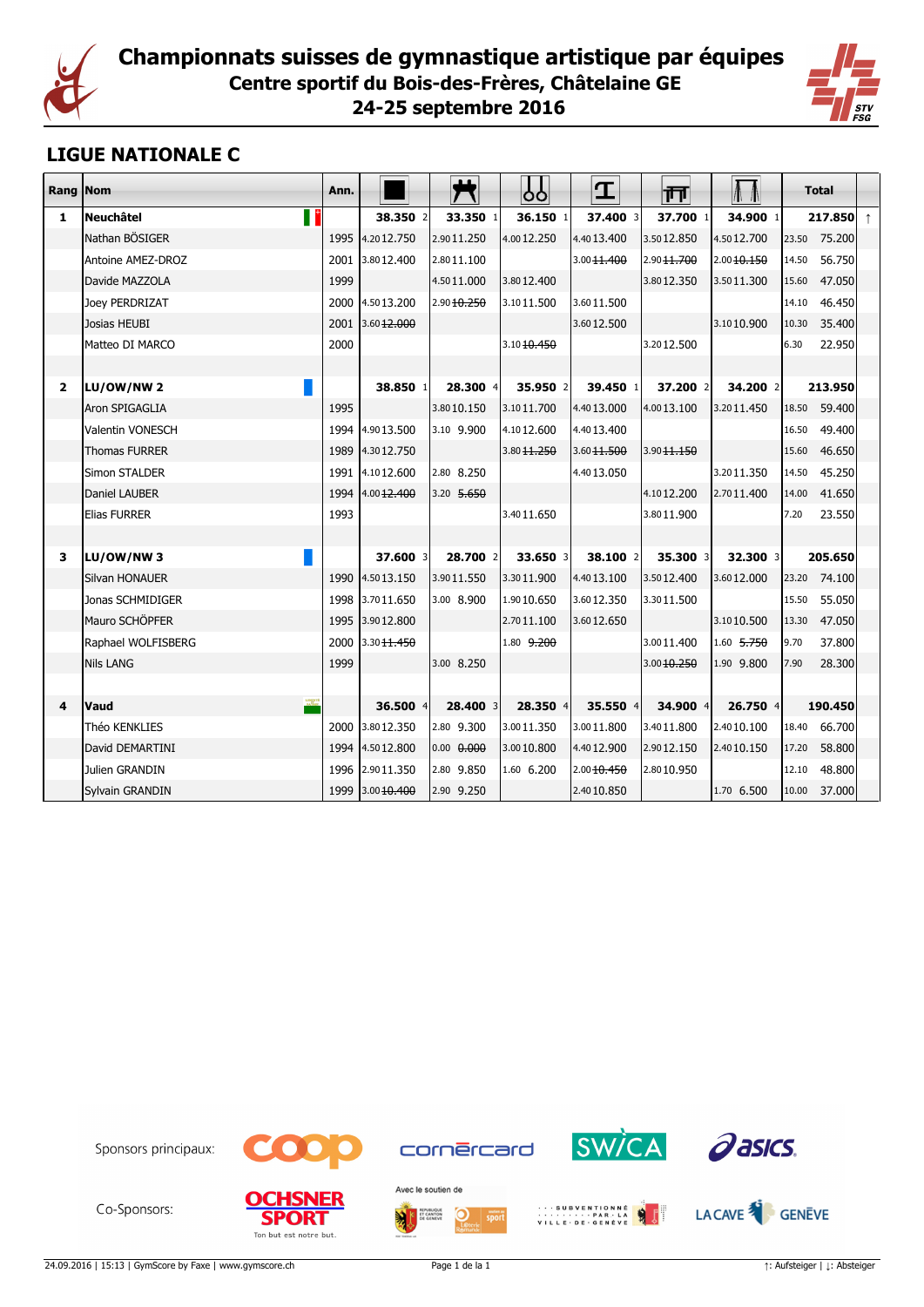



## **LIGUE NATIONALE C**

| Rang Nom     |                             | Ann. |                             |                       | ჯ                      | I           | गा                     | $\Lambda$   |       | Total              |  |
|--------------|-----------------------------|------|-----------------------------|-----------------------|------------------------|-------------|------------------------|-------------|-------|--------------------|--|
| 1            | $\blacksquare$<br>Neuchâtel |      | 38.350 2                    | 33.350 1              | 36.150 1               | 37.400 3    | 37.700 1               | 34.900 1    |       | 217.850 $\uparrow$ |  |
|              | Nathan BÖSIGER              | 1995 | 4.2012.750                  | 2.9011.250            | 4.0012.250             | 4.4013.400  | 3.5012.850             | 4.5012.700  |       | 23.50 75.200       |  |
|              | Antoine AMEZ-DROZ           |      | 2001 3.8012.400             | 2.8011.100            |                        | 3.0011.400  | 2.90 11.700            | 2.00 10.150 | 14.50 | 56.750             |  |
|              | Davide MAZZOLA              | 1999 |                             | 4.5011,000            | 3.8012.400             |             | 3.8012.350             | 3.5011.300  | 15.60 | 47.050             |  |
|              | Joey PERDRIZAT              |      | 2000 4.5013.200             | 2.9010.250            | 3.1011.500             | 3.6011.500  |                        |             | 14.10 | 46.450             |  |
|              | Josias HEUBI                |      | 2001 3.60 <del>12.000</del> |                       |                        | 3.6012.500  |                        | 3.1010.900  | 10.30 | 35.400             |  |
|              | Matteo DI MARCO             | 2000 |                             |                       | 3.1010.450             |             | 3.2012.500             |             | 6.30  | 22.950             |  |
|              |                             |      |                             |                       |                        |             |                        |             |       |                    |  |
| $\mathbf{2}$ | LU/OW/NW 2                  |      | 38.850 1                    | $28.300$ 4            | 35.950 2               | 39.450 1    | 37.200 2               | 34.200 2    |       | 213.950            |  |
|              | lAron SPIGAGLIA             | 1995 |                             | 3.8010.150            | 3.1011,700             | 4.4013.000  | 4.0013.100             | 3.2011.450  | 18.50 | 59.400             |  |
|              | <b>Valentin VONESCH</b>     |      | 1994 4.90 13.500            | 3.10 9.900            | 4.1012.600             | 4.4013.400  |                        |             | 16.50 | 49.400             |  |
|              | <b>Thomas FURRER</b>        | 1989 | 4.3012.750                  |                       | 3.80 <del>11.250</del> | 3.6011.500  | 3.90 <del>11.150</del> |             | 15.60 | 46.650             |  |
|              | <b>Simon STALDER</b>        | 1991 | 4.1012.600                  | 2.80 8.250            |                        | 4.4013.050  |                        | 3.2011.350  | 14.50 | 45.250             |  |
|              | Daniel LAUBER               |      | 1994 4.00 12.400            | 3.20 5.650            |                        |             | 4.1012.200             | 2.7011.400  | 14.00 | 41.650             |  |
|              | <b>Elias FURRER</b>         | 1993 |                             |                       | 3.4011.650             |             | 3.8011.900             |             | 7.20  | 23.550             |  |
|              |                             |      |                             |                       |                        |             |                        |             |       |                    |  |
| з            | LU/OW/NW3                   |      | 37.600 3                    | 28.700 2              | 33.650 3               | 38.100 2    | $35.300$ 3             | 32.300 3    |       | 205.650            |  |
|              | Silvan HONAUER              | 1990 | 4.5013.150                  | 3.9011.550            | 3.3011.900             | 4.4013.100  | 3.5012.400             | 3.6012.000  | 23.20 | 74.100             |  |
|              | Jonas SCHMIDIGER            |      | 1998 3.7011.650             | 3.00 8.900            | 1.9010.650             | 3.6012.350  | 3.3011.500             |             | 15.50 | 55.050             |  |
|              | Mauro SCHÖPFER              |      | 1995 3.9012.800             |                       | 2.7011.100             | 3.6012.650  |                        | 3.1010.500  | 13.30 | 47.050             |  |
|              | Raphael WOLFISBERG          | 2000 | 3.30 <del>11.450</del>      |                       | 1.80 9.200             |             | 3.0011.400             | 1.60 5.750  | 9.70  | 37.800             |  |
|              | <b>Nils LANG</b>            | 1999 |                             | 3.00 8.250            |                        |             | $3.00$ $10,250$        | 1.90 9.800  | 7.90  | 28.300             |  |
|              |                             |      |                             |                       |                        |             |                        |             |       |                    |  |
| 4            | lVaud                       |      | 36.500 4                    | 28,400 3              | 28,350 4               | 35.550 $4$  | 34.900 4               | 26.750 4    |       | 190.450            |  |
|              | Théo KENKLIES               |      | 2000 3.8012.350             | 2.80 9.300            | 3.0011.350             | 3.0011.800  | 3.4011.800             | 2.4010.100  | 18.40 | 66.700             |  |
|              | David DEMARTINI             |      | 1994 4.5012.800             | 0.00 <del>0.000</del> | 3.0010.800             | 4.4012.900  | 2.9012.150             | 2.4010.150  | 17.20 | 58.800             |  |
|              | Julien GRANDIN              |      | 1996 2.90 11.350            | 2.80 9.850            | 1.60 6.200             | 2.00 10.450 | 2.8010.950             |             | 12.10 | 48,800             |  |
|              | Sylvain GRANDIN             |      | 1999 3.00 10.400            | 2.90 9.250            |                        | 2.4010.850  |                        | 1.70 6.500  | 10.00 | 37.000             |  |



Co-Sponsors:









LACAVE<sup>3</sup> GENEVE

24.09.2016 | 15:13 | GymScore by Faxe | www.gymscore.ch Page 1 de la 1 ↑: Aufsteiger | ↓: Absteiger | ↓: Absteiger

cornercard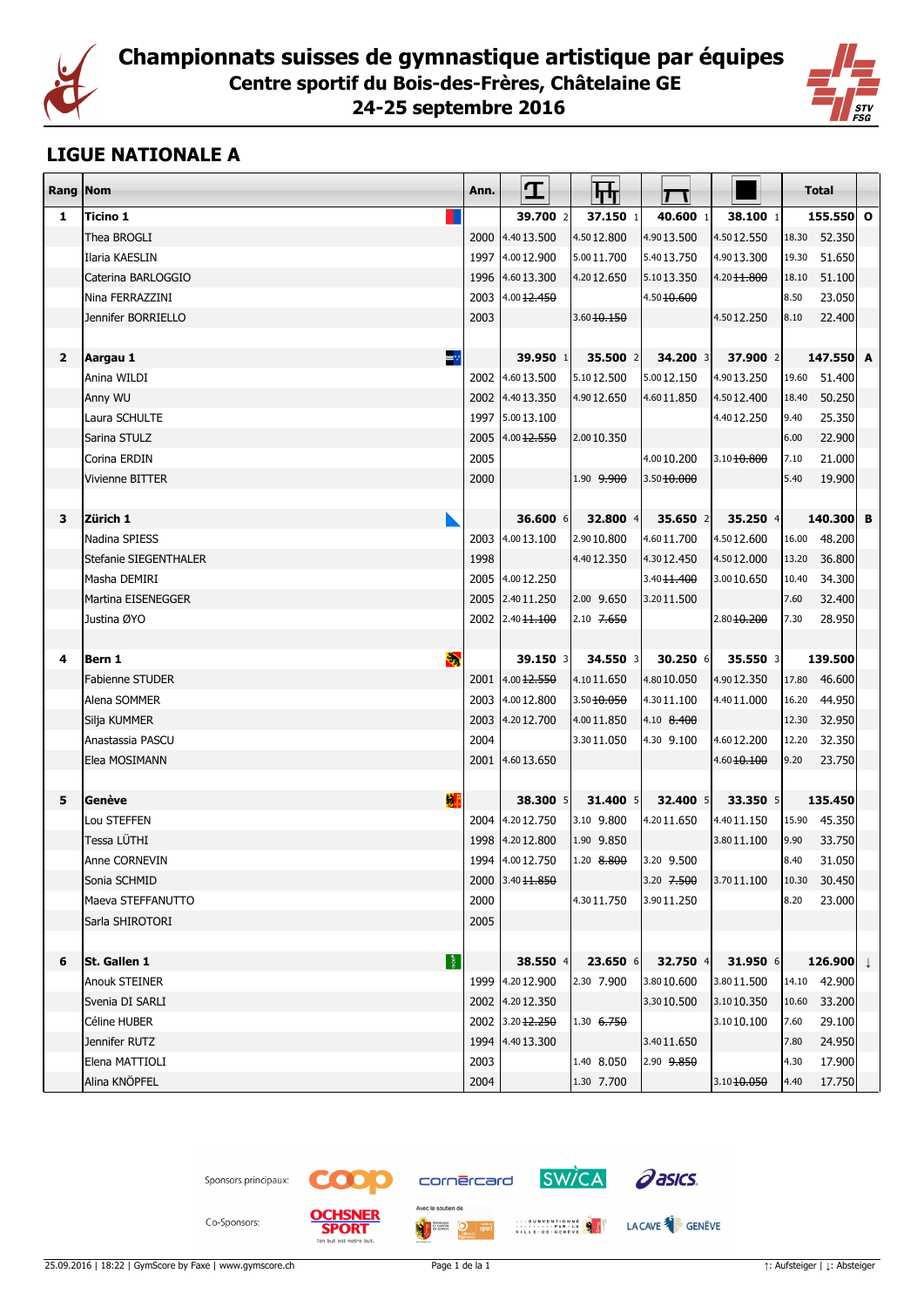



#### **LIGUE NATIONALE A**

| Rang Nom                |                        | Ann. | I                           | स्त्र                    |                        |                        | <b>Total</b> |                        |  |
|-------------------------|------------------------|------|-----------------------------|--------------------------|------------------------|------------------------|--------------|------------------------|--|
| 1                       | Ticino 1               |      | 39.700 2                    | 37.150 1                 | 40.600 1               | 38.100 1               |              | 155.550 0              |  |
|                         | Thea BROGLI            |      | 2000 4.4013.500             | 4.5012.800               | 4.9013.500             | 4.5012.550             | 18.30        | 52.350                 |  |
|                         | Ilaria KAESLIN         |      | 1997 4.0012.900             | 5.0011.700               | 5.4013.750             | 4.9013.300             | 19.30        | 51.650                 |  |
|                         | Caterina BARLOGGIO     |      | 1996 4.6013.300             | 4.2012.650               | 5.1013.350             | 4.20 <del>11.800</del> | 18.10        | 51.100                 |  |
|                         | Nina FERRAZZINI        | 2003 | [4.00 <sub>12.450</sub> ]   |                          | 4.50 <del>10.600</del> |                        | 8.50         | 23.050                 |  |
|                         | Jennifer BORRIELLO     | 2003 |                             | 3.60 10.150              |                        | 4.5012.250             | 8.10         | 22.400                 |  |
|                         |                        |      |                             |                          |                        |                        |              |                        |  |
| $\overline{\mathbf{2}}$ | ≋∵<br>Aargau 1         |      | 39.950 1                    | 35.500 2                 | 34.200 3               | 37.900 2               |              | 147.550 A              |  |
|                         | Anina WILDI            |      | 2002 4.6013.500             | 5.1012.500               | 5.0012.150             | 4.9013.250             | 19.60        | 51.400                 |  |
|                         | Anny WU                |      | 2002 4.4013.350             | 4.9012.650               | 4.6011.850             | 4.5012.400             | 18.40        | 50.250                 |  |
|                         | Laura SCHULTE          |      | 1997 5.00 13.100            |                          |                        | 4.4012.250             | 9.40         | 25.350                 |  |
|                         | Sarina STULZ           | 2005 | [4.00 <sub>12.550</sub> ]   | 2.0010.350               |                        |                        | 6.00         | 22.900                 |  |
|                         | Corina ERDIN           | 2005 |                             |                          | 4.0010.200             | 3.1010.800             | 7.10         | 21.000                 |  |
|                         | <b>Vivienne BITTER</b> | 2000 |                             | 1.90 9.900               | 3.5010.000             |                        | 5.40         | 19.900                 |  |
|                         |                        |      |                             |                          |                        |                        |              |                        |  |
| 3                       | Zürich 1               |      | 36.600 6                    | 32.800 4                 | 35.650 2               | 35.250 4               |              | 140.300 B              |  |
|                         | Nadina SPIESS          | 2003 | 4.0013.100                  | 2.9010.800               | 4.6011.700             | 4.5012.600             | 16.00        | 48.200                 |  |
|                         | Stefanie SIEGENTHALER  | 1998 |                             | 4.4012.350               | 4.3012.450             | 4.5012.000             | 13.20        | 36.800                 |  |
|                         | Masha DEMIRI           |      | 2005 4.0012.250             |                          | 3.40 <del>11.400</del> | 3.0010.650             | 10.40        | 34.300                 |  |
|                         | Martina EISENEGGER     |      | 2005 2.4011.250             | 2.00 9.650               | 3.2011.500             |                        | 7.60         | 32.400                 |  |
|                         | Justina ØYO            |      | 2002 2.40 11.100            | 2.10 <del>7.650</del>    |                        | 2.8010.200             | 7.30         | 28.950                 |  |
|                         |                        |      |                             |                          |                        |                        |              |                        |  |
| 4                       | e)<br>Bern 1           |      | 39.150 3                    | 34.550 3                 | 30.250 6               | 35.550 3               |              | 139.500                |  |
|                         | <b>Fabienne STUDER</b> |      | 2001 4.00 12.550            | 4.1011.650               | 4.8010.050             | 4.9012.350             |              | 17.80 46.600           |  |
|                         | Alena SOMMER           |      | 2003 4.0012.800             | 3.5010.050               | 4.3011.100             | 4.4011.000             | 16.20        | 44.950                 |  |
|                         | Silja KUMMER           | 2003 | 4.2012.700                  | 4.0011.850               | 4.10 8.400             |                        | 12.30        | 32.950                 |  |
|                         | Anastassia PASCU       | 2004 |                             | 3.3011.050               | 4.30 9.100             | 4.6012.200             | 12.20        | 32.350                 |  |
|                         | Elea MOSIMANN          |      | 2001 4.6013.650             |                          |                        | 4.6010.100             | 9.20         | 23.750                 |  |
|                         | 灲                      |      |                             |                          |                        |                        |              |                        |  |
| 5                       | Genève<br>Lou STEFFEN  |      | 38.300 5<br>2004 4.2012.750 | 31.400 5                 | 32.400 5<br>4.2011.650 | 33.350 5<br>4.4011.150 |              | 135.450                |  |
|                         | Tessa LÜTHI            | 1998 | 4.2012.800                  | 3.10 9.800<br>1.90 9.850 |                        | 3.8011.100             | 9.90         | 15.90 45.350<br>33.750 |  |
|                         | Anne CORNEVIN          |      | 1994 4.0012.750             | 1.20 8.800               | 3.20 9.500             |                        | 8.40         | 31.050                 |  |
|                         | Sonia SCHMID           |      | 2000 3.40 1.850             |                          | 3.20 7.500             | 3.7011.100             | 10.30        | 30.450                 |  |
|                         | Maeva STEFFANUTTO      | 2000 |                             | 4.3011.750               | 3.9011.250             |                        | 8.20         | 23.000                 |  |
|                         | Sarla SHIROTORI        | 2005 |                             |                          |                        |                        |              |                        |  |
|                         |                        |      |                             |                          |                        |                        |              |                        |  |
| 6                       | 图<br>St. Gallen 1      |      | 38.550 4                    | 23.650 6                 | 32.750 4               | 31.950 6               |              | 126.900 $\downarrow$   |  |
|                         | <b>Anouk STEINER</b>   | 1999 | 4.2012.900                  | 2.30 7.900               | 3.8010.600             | 3.8011.500             |              | 14.10 42.900           |  |
|                         | Svenia DI SARLI        |      | 2002 4.2012.350             |                          | 3.3010.500             | 3.1010.350             | 10.60        | 33.200                 |  |
|                         | Céline HUBER           |      | 2002 3.20 12.250            | 1.30 6.750               |                        | 3.1010.100             | 7.60         | 29.100                 |  |
|                         | Jennifer RUTZ          |      | 1994 4.4013.300             |                          | 3.4011.650             |                        | 7.80         | 24.950                 |  |
|                         | Elena MATTIOLI         | 2003 |                             | 1.40 8.050               | 2.90 9.850             |                        | 4.30         | 17.900                 |  |
|                         | Alina KNÖPFEL          | 2004 |                             | 1.30 7.700               |                        | 3.1010.050             | 4.40         | 17.750                 |  |
|                         |                        |      |                             |                          |                        |                        |              |                        |  |





tre but.

**SPORT** 



 $\overline{\bigcirc}$  sport





WILLE DECEMBER 19 J LACAVE

Co-Sponsors:



**ME**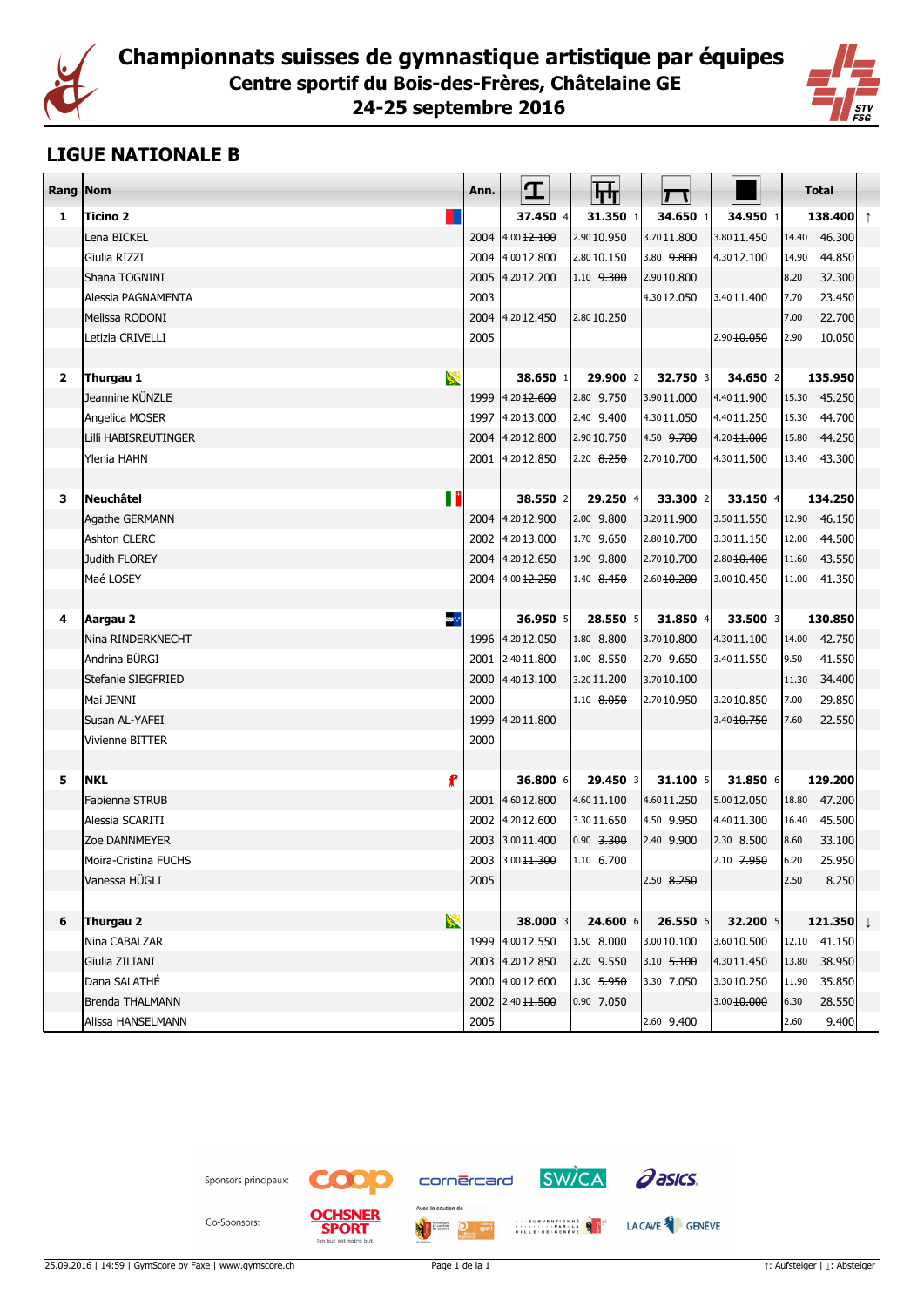



#### **LIGUE NATIONALE B**

| Rang Nom       |                              | Ann. | I                      | फ्त          |                       |             | <b>Total</b> |                      |            |
|----------------|------------------------------|------|------------------------|--------------|-----------------------|-------------|--------------|----------------------|------------|
| 1              | Ticino 2                     |      | 37.450 4               | 31.350 1     | 34.650 1              | 34.950 1    |              | 138.400              | $\uparrow$ |
|                | Lena BICKEL                  | 2004 | 4.00 <del>12.100</del> | 2.9010.950   | 3.7011.800            | 3.8011.450  | 14.40        | 46.300               |            |
|                | Giulia RIZZI                 | 2004 | 4.0012.800             | 2.8010.150   | 3.80 9.800            | 4.3012.100  | 14.90        | 44.850               |            |
|                | Shana TOGNINI                | 2005 | 4.2012.200             | 1.10 9.300   | 2.9010.800            |             | 8.20         | 32.300               |            |
|                | Alessia PAGNAMENTA           | 2003 |                        |              | 4.3012.050            | 3.4011.400  | 7.70         | 23.450               |            |
|                | Melissa RODONI               | 2004 | 4.2012.450             | 2.8010.250   |                       |             | 7.00         | 22.700               |            |
|                | Letizia CRIVELLI             | 2005 |                        |              |                       | 2.9010.050  | 2.90         | 10.050               |            |
|                |                              |      |                        |              |                       |             |              |                      |            |
| $\overline{2}$ | $\mathbf{z}$<br>Thurgau 1    |      | 38.650 1               | 29,900 2     | 32.750 3              | 34.650 2    |              | 135.950              |            |
|                | Jeannine KÜNZLE              | 1999 | 4.2012.600             | 2.80 9.750   | 3.9011.000            | 4.4011.900  | 15.30        | 45.250               |            |
|                | Angelica MOSER               | 1997 | 4.2013.000             | 2.40 9.400   | 4.3011.050            | 4.4011.250  | 15.30        | 44.700               |            |
|                | Lilli HABISREUTINGER         | 2004 | 4.2012.800             | 2.9010.750   | 4.50 <del>9.700</del> | 4.2011.000  | 15.80        | 44.250               |            |
|                | Ylenia HAHN                  | 2001 | 4.2012.850             | 2.20 8.250   | 2.7010.700            | 4.3011.500  | 13.40        | 43.300               |            |
|                |                              |      |                        |              |                       |             |              |                      |            |
| 3              | П<br><b>Neuchâtel</b>        |      | 38.550 2               | 29.250 4     | 33.300 2              | 33.150 4    |              | 134.250              |            |
|                | Agathe GERMANN               | 2004 | 4.2012.900             | 2.00 9.800   | 3.2011.900            | 3.5011.550  |              | 12.90 46.150         |            |
|                | <b>Ashton CLERC</b>          | 2002 | 4.2013.000             | 1.70 9.650   | 2.8010.700            | 3.3011.150  | 12.00        | 44.500               |            |
|                | Judith FLOREY                | 2004 | 4.2012.650             | 1.90 9.800   | 2.7010.700            | 2.8010.400  | 11.60        | 43.550               |            |
|                | Maé LOSEY                    |      | 2004 4.00 12.250       | $1.40$ 8.450 | 2.6010.200            | 3.0010.450  |              | 11.00 41.350         |            |
|                |                              |      |                        |              |                       |             |              |                      |            |
| 4              | ≋ <mark>∵</mark><br>Aargau 2 |      | 36.950 5               | 28.550 5     | 31.850 4              | 33.500 3    |              | 130.850              |            |
|                | Nina RINDERKNECHT            |      | 1996 4.2012.050        | 1.80 8.800   | 3.7010.800            | 4.3011.100  | 14.00        | 42.750               |            |
|                | Andrina BÜRGI                | 2001 | 2.4011.800             | 1.00 8.550   | 2.70 <del>9.650</del> | 3.4011.550  | 9.50         | 41.550               |            |
|                | Stefanie SIEGFRIED           | 2000 | 4.4013.100             | 3.2011.200   | 3.7010.100            |             | 11.30        | 34.400               |            |
|                | Mai JENNI                    | 2000 |                        | 1.10 8.050   | 2.7010.950            | 3.2010.850  | 7.00         | 29.850               |            |
|                | Susan AL-YAFEI               | 1999 | 4.2011.800             |              |                       | 3.40 10.750 | 7.60         | 22.550               |            |
|                | Vivienne BITTER              | 2000 |                        |              |                       |             |              |                      |            |
|                |                              |      |                        |              |                       |             |              |                      |            |
| 5              | f<br><b>NKL</b>              |      | 36.800 6               | 29.450 3     | 31.100 5              | 31.850 6    |              | 129.200              |            |
|                | <b>Fabienne STRUB</b>        | 2001 | 4.6012.800             | 4.6011.100   | 4.6011.250            | 5.0012.050  |              | 18.80 47.200         |            |
|                | Alessia SCARITI              | 2002 | 4.2012.600             | 3.3011.650   | 4.50 9.950            | 4.4011.300  | 16.40        | 45.500               |            |
|                | Zoe DANNMEYER                | 2003 | 3.0011.400             | 0.90 3.300   | 2.40 9.900            | 2.30 8.500  | 8.60         | 33.100               |            |
|                | Moira-Cristina FUCHS         | 2003 | 3.00 <del>11.300</del> | 1.10 6.700   |                       | 2.10 7.950  | 6.20         | 25.950               |            |
|                | Vanessa HUGLI                | 2005 |                        |              | 2.50 8.250            |             | 2.50         | 8.250                |            |
|                |                              |      |                        |              |                       |             |              |                      |            |
| 6              | X<br>Thurgau 2               |      | 38.000 3               | 24.600 6     | 26.550 6              | 32.200 5    |              | 121.350 $\downarrow$ |            |
|                | Nina CABALZAR                | 1999 | 4.0012.550             | 1.50 8.000   | 3.0010.100            | 3.6010.500  |              | 12.10 41.150         |            |
|                | Giulia ZILIANI               | 2003 | 4.2012.850             | 2.20 9.550   | 3.10 5.100            | 4.3011.450  | 13.80        | 38.950               |            |
|                | Dana SALATHÉ                 | 2000 | 4.0012.600             | 1.30 5.950   | 3.30 7.050            | 3.3010.250  | 11.90        | 35.850               |            |
|                | <b>Brenda THALMANN</b>       | 2002 | 2.40 11.500            | 0.90 7.050   |                       | 3.0010.000  | 6.30         | 28.550               |            |
|                | Alissa HANSELMANN            | 2005 |                        |              | 2.60 9.400            |             | 2.60         | 9.400                |            |





an bun



 $\overline{\bigcirc}$  sport



WILLE DECEMBER 19 J LACAVE



Co-Sponsors:

25.09.2016 | 14:59 | GymScore by Faxe | www.gymscore.ch Page 1 de la 1 ↑: Aufsteiger | ↓: Absteiger

**ME**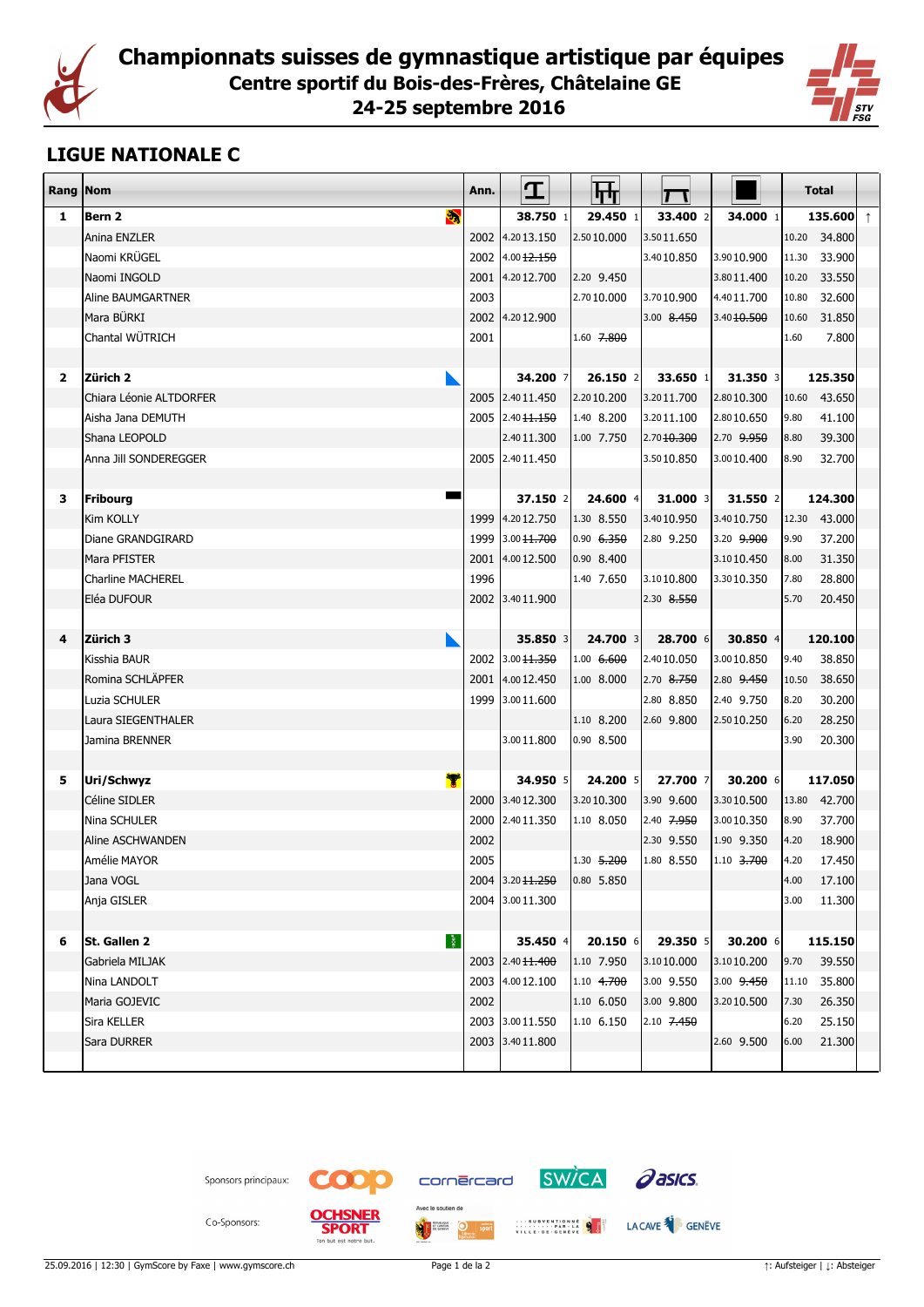



## **LIGUE NATIONALE C**

| Rang         | Nom                      | Ann. | I                | स्ति               |                        |             | <b>Total</b> |              |            |
|--------------|--------------------------|------|------------------|--------------------|------------------------|-------------|--------------|--------------|------------|
| 1            | S.<br>Bern 2             |      | 38.750 1         | 29.450 1           | 33.400 2               | 34.000 1    |              | 135.600      | $\uparrow$ |
|              | Anina ENZLER             |      | 2002 4.2013.150  | 2.5010.000         | 3.5011.650             |             |              | 10.20 34,800 |            |
|              | Naomi KRÜGEL             |      | 2002 4.00 12.150 |                    | 3.4010.850             | 3.9010.900  |              | 11.30 33.900 |            |
|              | Naomi INGOLD             |      | 2001 4.2012.700  | 2.20 9.450         |                        | 3.8011.400  | 10.20        | 33.550       |            |
|              | Aline BAUMGARTNER        | 2003 |                  | 2.7010.000         | 3.7010.900             | 4.4011.700  | 10.80        | 32.600       |            |
|              | Mara BÜRKI               |      | 2002 4.2012.900  |                    | 3.00 8.450             | 3.40 10.500 | 10.60        | 31.850       |            |
|              | Chantal WÜTRICH          | 2001 |                  | $1.60$ 7,800       |                        |             | 1.60         | 7.800        |            |
|              |                          |      |                  |                    |                        |             |              |              |            |
| $\mathbf{2}$ | Zürich 2                 |      | 34.200 7         | $26.150$ 2         | $33.650$ 1             | 31.350 3    |              | 125.350      |            |
|              | lChiara Léonie ALTDORFER |      | 2005 2.40 11.450 | 2.2010.200         | 3.2011.700             | 2.8010.300  | 10.60        | 43.650       |            |
|              | Aisha Jana DEMUTH        |      | 2005 2.40 11.150 | 1.40 8.200         | 3.2011.100             | 2.8010.650  | 9.80         | 41.100       |            |
|              | Shana LEOPOLD            |      | 2.4011.300       | 1.00 7.750         | 2.70 <del>10.300</del> | 2.70 9.950  | 8.80         | 39.300       |            |
|              | Anna Jill SONDEREGGER    |      | 2005 2.40 11.450 |                    | 3.5010.850             | 3.0010.400  | 8.90         | 32.700       |            |
|              |                          |      |                  |                    |                        |             |              |              |            |
| 3            | Fribourg                 |      | 37.150 2         | 24.600 4           | 31.000 3               | 31.550 2    |              | 124.300      |            |
|              | Kim KOLLY                |      | 1999 4.2012.750  | 1.30 8.550         | 3.4010.950             | 3.4010.750  |              | 12.30 43.000 |            |
|              | Diane GRANDGIRARD        |      | 1999 3.00 11.700 | $ 0.90 \t\t 6.350$ | 2.80 9.250             | 3.20 9.900  | 9.90         | 37.200       |            |
|              | Mara PFISTER             |      | 2001 4.0012.500  | $ 0.90 \t8.400$    |                        | 3.1010.450  | 8.00         | 31.350       |            |
|              | <b>Charline MACHEREL</b> | 1996 |                  | 1.40 7.650         | 3.1010.800             | 3.3010.350  | 7.80         | 28.800       |            |
|              | Eléa DUFOUR              |      | 2002 3.4011.900  |                    | 2.30 8.550             |             | 5.70         | 20.450       |            |
|              |                          |      |                  |                    |                        |             |              |              |            |
| 4            | Zürich 3                 |      | 35.850 3         | 24.700 3           | 28.700 6               | 30.850 $4$  |              | 120.100      |            |
|              | Kisshia BAUR             |      | 2002 3.00 11.350 | $1.00 \quad 6.600$ | 2.4010.050             | 3.0010.850  | 9.40         | 38.850       |            |
|              | Romina SCHLÄPFER         |      | 2001 4.0012.450  | 1.00 8.000         | $ 2.70 \t8.750 $       | 2.80 9.450  | 10.50        | 38.650       |            |
|              | Luzia SCHULER            |      | 1999 3.0011.600  |                    | 2.80 8.850             | 2.40 9.750  | 8.20         | 30.200       |            |
|              | Laura SIEGENTHALER       |      |                  | 1.10 8.200         | 2.60 9.800             | 2.5010.250  | 6.20         | 28.250       |            |
|              | Jamina BRENNER           |      | 3.0011.800       | 0.90 8.500         |                        |             | 3.90         | 20.300       |            |
|              |                          |      |                  |                    |                        |             |              |              |            |
| 5            | Y<br>Uri/Schwyz          |      | 34.950 5         | 24.200 5           | 27.700 7               | 30.200 6    |              | 117.050      |            |
|              | Céline SIDLER            |      | 2000 3.4012.300  | 3.2010.300         | 3.90 9.600             | 3.3010.500  |              | 13.80 42.700 |            |
|              | Nina SCHULER             |      | 2000 2.4011.350  | 1.10 8.050         | 2.40 7.950             | 3.0010.350  | 8.90         | 37.700       |            |
|              | Aline ASCHWANDEN         | 2002 |                  |                    | 2.30 9.550             | 1.90 9.350  | 4.20         | 18.900       |            |
|              | Amélie MAYOR             | 2005 |                  | $1.30$ 5.200       | 1.80 8.550             | 1.10 3.700  | 4.20         | 17.450       |            |
|              | Jana VOGL                |      | 2004 3.20 11.250 | $ 0.80 \t5.850$    |                        |             | 4.00         | 17.100       |            |
|              | Anja GISLER              |      | 2004 3.0011.300  |                    |                        |             | 3.00         | 11.300       |            |
|              |                          |      |                  |                    |                        |             |              |              |            |
| 6            | 图<br>St. Gallen 2        |      | 35.450 $4$       | 20.150 6           | 29.350 5               | 30.200 6    |              | 115.150      |            |
|              | Gabriela MILJAK          |      | 2003 2.40 11.400 | 1.10 7.950         | 3.1010.000             | 3.1010.200  | 9.70         | 39.550       |            |
|              | Nina LANDOLT             |      | 2003 4.0012.100  | 1.10 4.700         | 3.00 9.550             | 3.00 9.450  | 11.10        | 35.800       |            |
|              | Maria GOJEVIC            | 2002 |                  | 1.10 6.050         | 3.00 9.800             | 3.2010.500  | 7.30         | 26.350       |            |
|              | Sira KELLER              |      | 2003 3.0011.550  | 1.10 6.150         | 2.10 $7.450$           |             | 6.20         | 25.150       |            |
|              | Sara DURRER              |      | 2003 3.4011.800  |                    |                        | 2.60 9.500  | 6.00         | 21.300       |            |
|              |                          |      |                  |                    |                        |             |              |              |            |





an bun

**SPORT** 



 $\overline{\bigcirc}$  sport

Avec le soutien de

**MIT HEADER** 



WILLE DECEMBER 19 J LACAVE



Co-Sponsors:

25.09.2016 | 12:30 | GymScore by Faxe | www.gymscore.ch Page 1 de la 2 Page 1 de la 2 1: Aufsteiger | ↓: Absteiger | ↓: Absteiger